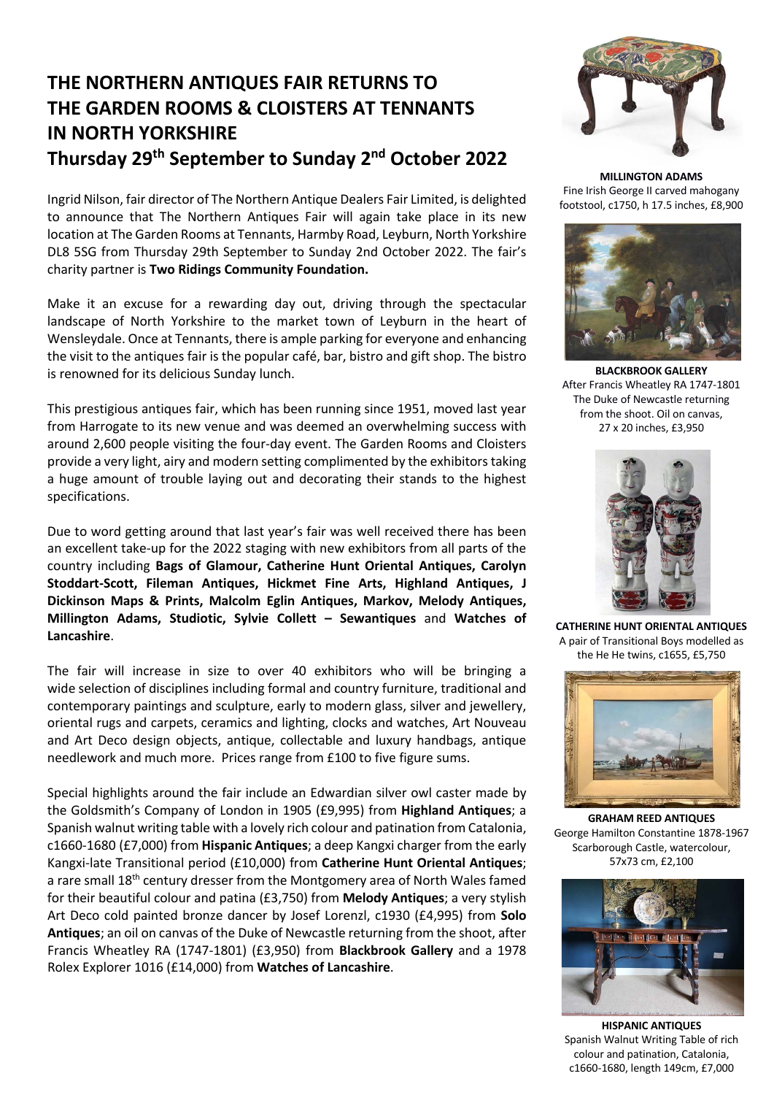## **THE NORTHERN ANTIQUES FAIR RETURNS TO THE GARDEN ROOMS & CLOISTERS AT TENNANTS IN NORTH YORKSHIRE Thursday 29th September to Sunday 2nd October 2022**

Ingrid Nilson, fair director of The Northern Antique Dealers Fair Limited, is delighted to announce that The Northern Antiques Fair will again take place in its new location at The Garden Rooms at Tennants, Harmby Road, Leyburn, North Yorkshire DL8 5SG from Thursday 29th September to Sunday 2nd October 2022. The fair's charity partner is **Two Ridings Community Foundation.**

Make it an excuse for a rewarding day out, driving through the spectacular landscape of North Yorkshire to the market town of Leyburn in the heart of Wensleydale. Once at Tennants, there is ample parking for everyone and enhancing the visit to the antiques fair is the popular café, bar, bistro and gift shop. The bistro is renowned for its delicious Sunday lunch.

This prestigious antiques fair, which has been running since 1951, moved last year from Harrogate to its new venue and was deemed an overwhelming success with around 2,600 people visiting the four-day event. The Garden Rooms and Cloisters provide a very light, airy and modern setting complimented by the exhibitors taking a huge amount of trouble laying out and decorating their stands to the highest specifications.

Due to word getting around that last year's fair was well received there has been an excellent take-up for the 2022 staging with new exhibitors from all parts of the country including **Bags of Glamour, Catherine Hunt Oriental Antiques, Carolyn Stoddart-Scott, Fileman Antiques, Hickmet Fine Arts, Highland Antiques, J Dickinson Maps & Prints, Malcolm Eglin Antiques, Markov, Melody Antiques, Millington Adams, Studiotic, Sylvie Collett – Sewantiques** and **Watches of Lancashire**.

The fair will increase in size to over 40 exhibitors who will be bringing a wide selection of disciplines including formal and country furniture, traditional and contemporary paintings and sculpture, early to modern glass, silver and jewellery, oriental rugs and carpets, ceramics and lighting, clocks and watches, Art Nouveau and Art Deco design objects, antique, collectable and luxury handbags, antique needlework and much more. Prices range from £100 to five figure sums.

Special highlights around the fair include an Edwardian silver owl caster made by the Goldsmith's Company of London in 1905 (£9,995) from **Highland Antiques**; a Spanish walnut writing table with a lovely rich colour and patination from Catalonia, c1660-1680 (£7,000) from **Hispanic Antiques**; a deep Kangxi charger from the early Kangxi-late Transitional period (£10,000) from **Catherine Hunt Oriental Antiques**; a rare small 18<sup>th</sup> century dresser from the Montgomery area of North Wales famed for their beautiful colour and patina (£3,750) from **Melody Antiques**; a very stylish Art Deco cold painted bronze dancer by Josef Lorenzl, c1930 (£4,995) from **Solo Antiques**; an oil on canvas of the Duke of Newcastle returning from the shoot, after Francis Wheatley RA (1747-1801) (£3,950) from **Blackbrook Gallery** and a 1978 Rolex Explorer 1016 (£14,000) from **Watches of Lancashire**.



**MILLINGTON ADAMS** Fine Irish George II carved mahogany footstool, c1750, h 17.5 inches, £8,900



**BLACKBROOK GALLERY** After Francis Wheatley RA 1747-1801 The Duke of Newcastle returning from the shoot. Oil on canvas, 27 x 20 inches, £3,950



**CATHERINE HUNT ORIENTAL ANTIQUES** A pair of Transitional Boys modelled as the He He twins, c1655, £5,750



**GRAHAM REED ANTIQUES** George Hamilton Constantine 1878-1967 Scarborough Castle, watercolour, 57x73 cm, £2,100



**HISPANIC ANTIQUES** Spanish Walnut Writing Table of rich colour and patination, Catalonia, c1660-1680, length 149cm, £7,000